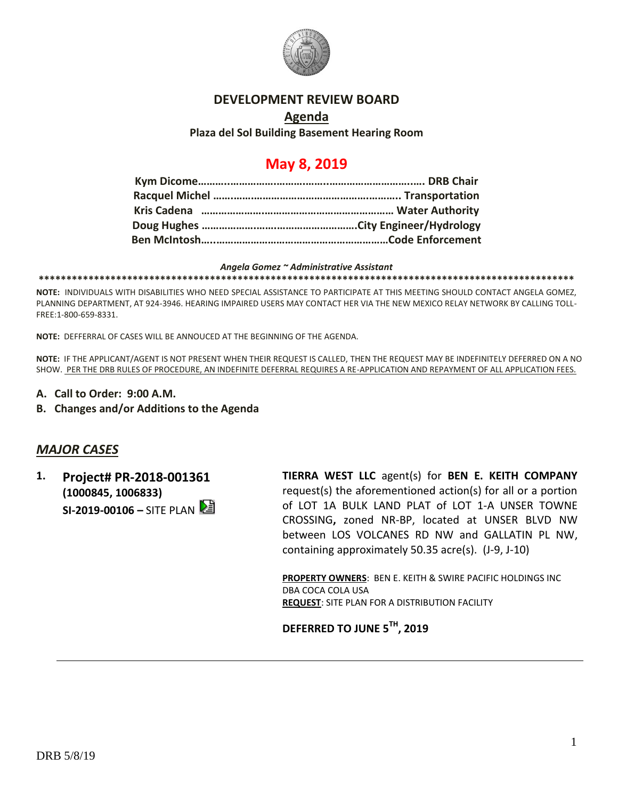

#### **DEVELOPMENT REVIEW BOARD**

### **Agenda Plaza del Sol Building Basement Hearing Room**

## **May 8, 2019**

#### *Angela Gomez ~ Administrative Assistant*

**\*\*\*\*\*\*\*\*\*\*\*\*\*\*\*\*\*\*\*\*\*\*\*\*\*\*\*\*\*\*\*\*\*\*\*\*\*\*\*\*\*\*\*\*\*\*\*\*\*\*\*\*\*\*\*\*\*\*\*\*\*\*\*\*\*\*\*\*\*\*\*\*\*\*\*\*\*\*\*\*\*\*\*\*\*\*\*\*\*\*\*\*\*\*\*\*\***

**NOTE:** INDIVIDUALS WITH DISABILITIES WHO NEED SPECIAL ASSISTANCE TO PARTICIPATE AT THIS MEETING SHOULD CONTACT ANGELA GOMEZ, PLANNING DEPARTMENT, AT 924-3946. HEARING IMPAIRED USERS MAY CONTACT HER VIA THE NEW MEXICO RELAY NETWORK BY CALLING TOLL-FREE:1-800-659-8331.

**NOTE:** DEFFERRAL OF CASES WILL BE ANNOUCED AT THE BEGINNING OF THE AGENDA.

**NOTE:** IF THE APPLICANT/AGENT IS NOT PRESENT WHEN THEIR REQUEST IS CALLED, THEN THE REQUEST MAY BE INDEFINITELY DEFERRED ON A NO SHOW. PER THE DRB RULES OF PROCEDURE, AN INDEFINITE DEFERRAL REQUIRES A RE-APPLICATION AND REPAYMENT OF ALL APPLICATION FEES.

- **A. Call to Order: 9:00 A.M.**
- **B. Changes and/or Additions to the Agenda**

### *MAJOR CASES*

**1. Project# PR-2018-001361 (1000845, 1006833) SI-2019-00106 –** SITE PLAN **TIERRA WEST LLC** agent(s) for **BEN E. KEITH COMPANY** request(s) the aforementioned action(s) for all or a portion of LOT 1A BULK LAND PLAT of LOT 1-A UNSER TOWNE CROSSING**,** zoned NR-BP, located at UNSER BLVD NW between LOS VOLCANES RD NW and GALLATIN PL NW, containing approximately 50.35 acre(s). (J-9, J-10)

**PROPERTY OWNERS**: BEN E. KEITH & SWIRE PACIFIC HOLDINGS INC DBA COCA COLA USA **REQUEST**: SITE PLAN FOR A DISTRIBUTION FACILITY

**DEFERRED TO JUNE 5TH , 2019**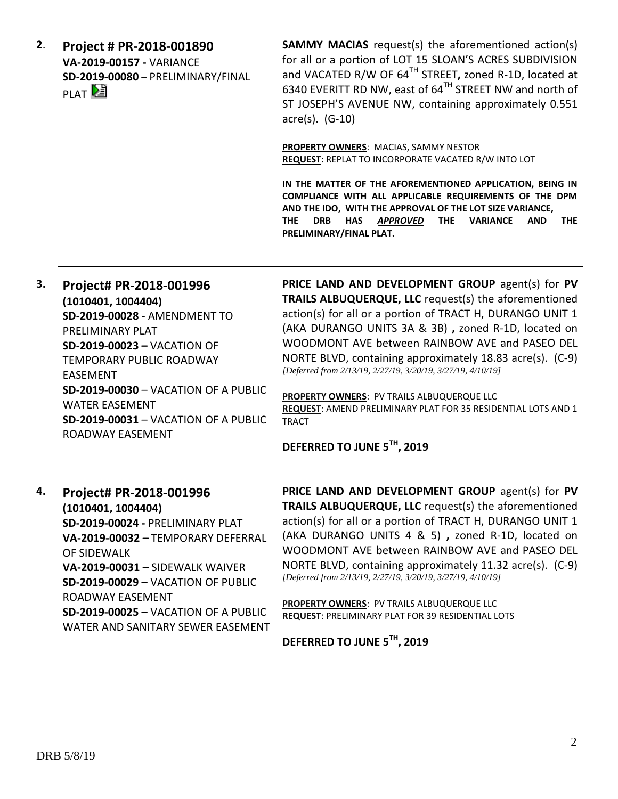**2**. **Project # PR-2018-001890 VA-2019-00157 -** VARIANCE **SD-2019-00080** – PRELIMINARY/FINAL PLAT<sup>[2</sup>

**SAMMY MACIAS** request(s) the aforementioned action(s) for all or a portion of LOT 15 SLOAN'S ACRES SUBDIVISION and VACATED R/W OF 64TH STREET**,** zoned R-1D, located at 6340 EVERITT RD NW, east of 64TH STREET NW and north of ST JOSEPH'S AVENUE NW, containing approximately 0.551 acre(s). (G-10)

**PROPERTY OWNERS**: MACIAS, SAMMY NESTOR **REQUEST**: REPLAT TO INCORPORATE VACATED R/W INTO LOT

**IN THE MATTER OF THE AFOREMENTIONED APPLICATION, BEING IN COMPLIANCE WITH ALL APPLICABLE REQUIREMENTS OF THE DPM AND THE IDO, WITH THE APPROVAL OF THE LOT SIZE VARIANCE, THE DRB HAS** *APPROVED* **THE VARIANCE AND THE PRELIMINARY/FINAL PLAT.** 

**3. Project# PR-2018-001996 (1010401, 1004404) SD-2019-00028 -** AMENDMENT TO PRELIMINARY PLAT **SD-2019-00023 –** VACATION OF TEMPORARY PUBLIC ROADWAY EASEMENT **SD-2019-00030** – VACATION OF A PUBLIC WATER EASEMENT **SD-2019-00031** – VACATION OF A PUBLIC ROADWAY EASEMENT

**PRICE LAND AND DEVELOPMENT GROUP** agent(s) for **PV TRAILS ALBUQUERQUE, LLC** request(s) the aforementioned action(s) for all or a portion of TRACT H, DURANGO UNIT 1 (AKA DURANGO UNITS 3A & 3B) **,** zoned R-1D, located on WOODMONT AVE between RAINBOW AVE and PASEO DEL NORTE BLVD, containing approximately 18.83 acre(s). (C-9) *[Deferred from 2/13/19, 2/27/19, 3/20/19, 3/27/19, 4/10/19]*

**PROPERTY OWNERS**: PV TRAILS ALBUQUERQUE LLC **REQUEST**: AMEND PRELIMINARY PLAT FOR 35 RESIDENTIAL LOTS AND 1 TRACT

#### **DEFERRED TO JUNE 5TH, 2019**

## **4. Project# PR-2018-001996 (1010401, 1004404) SD-2019-00024 -** PRELIMINARY PLAT **VA-2019-00032 –** TEMPORARY DEFERRAL OF SIDEWALK **VA-2019-00031** – SIDEWALK WAIVER **SD-2019-00029** – VACATION OF PUBLIC ROADWAY EASEMENT **SD-2019-00025** – VACATION OF A PUBLIC WATER AND SANITARY SEWER EASEMENT

**PRICE LAND AND DEVELOPMENT GROUP** agent(s) for **PV TRAILS ALBUQUERQUE, LLC** request(s) the aforementioned action(s) for all or a portion of TRACT H, DURANGO UNIT 1 (AKA DURANGO UNITS 4 & 5) **,** zoned R-1D, located on WOODMONT AVE between RAINBOW AVE and PASEO DEL NORTE BLVD, containing approximately 11.32 acre(s). (C-9) *[Deferred from 2/13/19, 2/27/19, 3/20/19, 3/27/19, 4/10/19]*

**PROPERTY OWNERS**: PV TRAILS ALBUQUERQUE LLC **REQUEST**: PRELIMINARY PLAT FOR 39 RESIDENTIAL LOTS

**DEFERRED TO JUNE 5TH, 2019**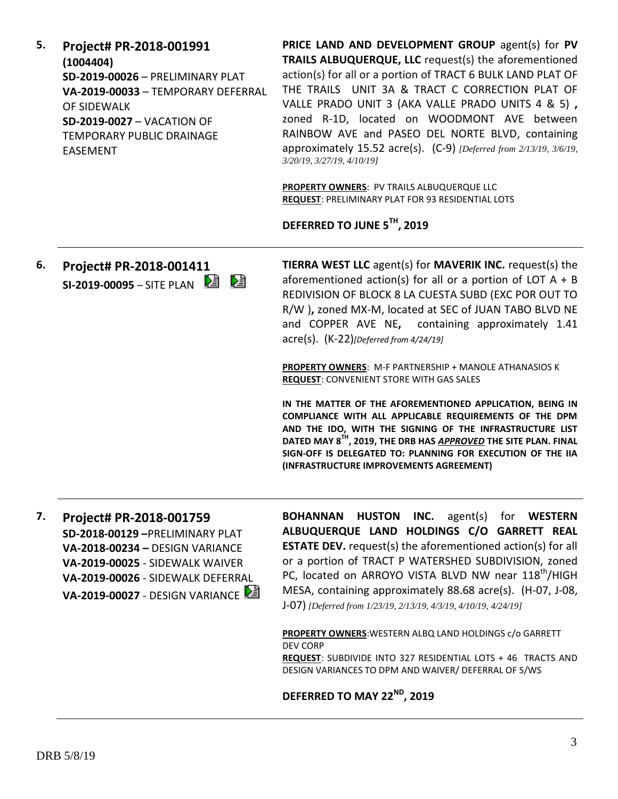**5. Project# PR-2018-001991 (1004404) SD-2019-00026** – PRELIMINARY PLAT **VA-2019-00033** – TEMPORARY DEFERRAL OF SIDEWALK **SD-2019-0027** – VACATION OF TEMPORARY PUBLIC DRAINAGE EASEMENT

**PRICE LAND AND DEVELOPMENT GROUP** agent(s) for **PV TRAILS ALBUQUERQUE, LLC** request(s) the aforementioned action(s) for all or a portion of TRACT 6 BULK LAND PLAT OF THE TRAILS UNIT 3A & TRACT C CORRECTION PLAT OF VALLE PRADO UNIT 3 (AKA VALLE PRADO UNITS 4 & 5) **,**  zoned R-1D, located on WOODMONT AVE between RAINBOW AVE and PASEO DEL NORTE BLVD, containing approximately 15.52 acre(s). (C-9) *[Deferred from 2/13/19, 3/6/19, 3/20/19, 3/27/19, 4/10/19]*

**PROPERTY OWNERS**: PV TRAILS ALBUQUERQUE LLC **REQUEST**: PRELIMINARY PLAT FOR 93 RESIDENTIAL LOTS

### **DEFERRED TO JUNE 5TH, 2019**

**6. Project# PR-2018-001411 SI-2019-00095** – SITE PLAN

**TIERRA WEST LLC** agent(s) for **MAVERIK INC.** request(s) the aforementioned action(s) for all or a portion of LOT  $A + B$ REDIVISION OF BLOCK 8 LA CUESTA SUBD (EXC POR OUT TO R/W )**,** zoned MX-M, located at SEC of JUAN TABO BLVD NE and COPPER AVE NE**,** containing approximately 1.41 acre(s). (K-22)*[Deferred from 4/24/19]*

**PROPERTY OWNERS**: M-F PARTNERSHIP + MANOLE ATHANASIOS K **REQUEST**: CONVENIENT STORE WITH GAS SALES

**IN THE MATTER OF THE AFOREMENTIONED APPLICATION, BEING IN COMPLIANCE WITH ALL APPLICABLE REQUIREMENTS OF THE DPM AND THE IDO, WITH THE SIGNING OF THE INFRASTRUCTURE LIST DATED MAY 8TH, 2019, THE DRB HAS** *APPROVED* **THE SITE PLAN. FINAL SIGN-OFF IS DELEGATED TO: PLANNING FOR EXECUTION OF THE IIA (INFRASTRUCTURE IMPROVEMENTS AGREEMENT)**

**7. Project# PR-2018-001759 SD-2018-00129 –**PRELIMINARY PLAT **VA-2018-00234 –** DESIGN VARIANCE **VA-2019-00025** - SIDEWALK WAIVER **VA-2019-00026** - SIDEWALK DEFERRAL **VA-2019-00027** - DESIGN VARIANCE **BOHANNAN HUSTON INC.** agent(s) for **WESTERN ALBUQUERQUE LAND HOLDINGS C/O GARRETT REAL ESTATE DEV.** request(s) the aforementioned action(s) for all or a portion of TRACT P WATERSHED SUBDIVISION, zoned PC, located on ARROYO VISTA BLVD NW near 118<sup>th</sup>/HIGH MESA, containing approximately 88.68 acre(s). (H-07, J-08, J-07) *[Deferred from 1/23/19, 2/13/19, 4/3/19, 4/10/19, 4/24/19]*

**PROPERTY OWNERS**:WESTERN ALBQ LAND HOLDINGS c/o GARRETT DEV CORP **REQUEST**: SUBDIVIDE INTO 327 RESIDENTIAL LOTS + 46 TRACTS AND DESIGN VARIANCES TO DPM AND WAIVER/ DEFERRAL OF S/WS

**DEFERRED TO MAY 22ND, 2019**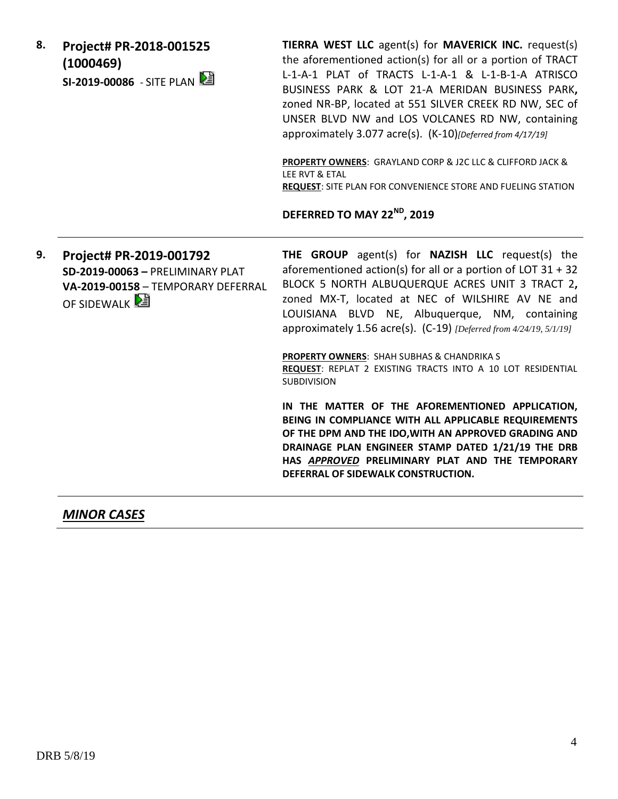| 8. | Project# PR-2018-001525<br>(1000469)<br>SI-2019-00086 - SITE PLAN                                                | TIERRA WEST LLC agent(s) for MAVERICK INC. request(s)<br>the aforementioned action(s) for all or a portion of TRACT<br>L-1-A-1 PLAT of TRACTS L-1-A-1 & L-1-B-1-A ATRISCO<br>BUSINESS PARK & LOT 21-A MERIDAN BUSINESS PARK,<br>zoned NR-BP, located at 551 SILVER CREEK RD NW, SEC of<br>UNSER BLVD NW and LOS VOLCANES RD NW, containing<br>approximately 3.077 acre(s). (K-10)[Deferred from 4/17/19]<br>PROPERTY OWNERS: GRAYLAND CORP & J2C LLC & CLIFFORD JACK &<br>LEE RVT & ETAL<br>REQUEST: SITE PLAN FOR CONVENIENCE STORE AND FUELING STATION<br>DEFERRED TO MAY 22 <sup>ND</sup> , 2019 |
|----|------------------------------------------------------------------------------------------------------------------|-----------------------------------------------------------------------------------------------------------------------------------------------------------------------------------------------------------------------------------------------------------------------------------------------------------------------------------------------------------------------------------------------------------------------------------------------------------------------------------------------------------------------------------------------------------------------------------------------------|
| 9. | Project# PR-2019-001792<br>SD-2019-00063 - PRELIMINARY PLAT<br>VA-2019-00158 - TEMPORARY DEFERRAL<br>OF SIDEWALK | THE GROUP agent(s) for NAZISH LLC request(s) the<br>aforementioned action(s) for all or a portion of LOT $31 + 32$<br>BLOCK 5 NORTH ALBUQUERQUE ACRES UNIT 3 TRACT 2,<br>zoned MX-T, located at NEC of WILSHIRE AV NE and<br>LOUISIANA BLVD NE, Albuquerque, NM, containing<br>approximately 1.56 acre(s). (C-19) [Deferred from 4/24/19, 5/1/19]<br>PROPERTY OWNERS: SHAH SUBHAS & CHANDRIKA S<br>REQUEST: REPLAT 2 EXISTING TRACTS INTO A 10 LOT RESIDENTIAL                                                                                                                                      |
|    |                                                                                                                  | <b>SUBDIVISION</b><br>IN THE MATTER OF THE AFOREMENTIONED APPLICATION,<br>BEING IN COMPLIANCE WITH ALL APPLICABLE REQUIREMENTS<br>OF THE DPM AND THE IDO, WITH AN APPROVED GRADING AND<br>DRAINAGE PLAN ENGINEER STAMP DATED 1/21/19 THE DRB<br>HAS APPROVED PRELIMINARY PLAT AND THE TEMPORARY<br>DEFERRAL OF SIDEWALK CONSTRUCTION.                                                                                                                                                                                                                                                               |

# *MINOR CASES*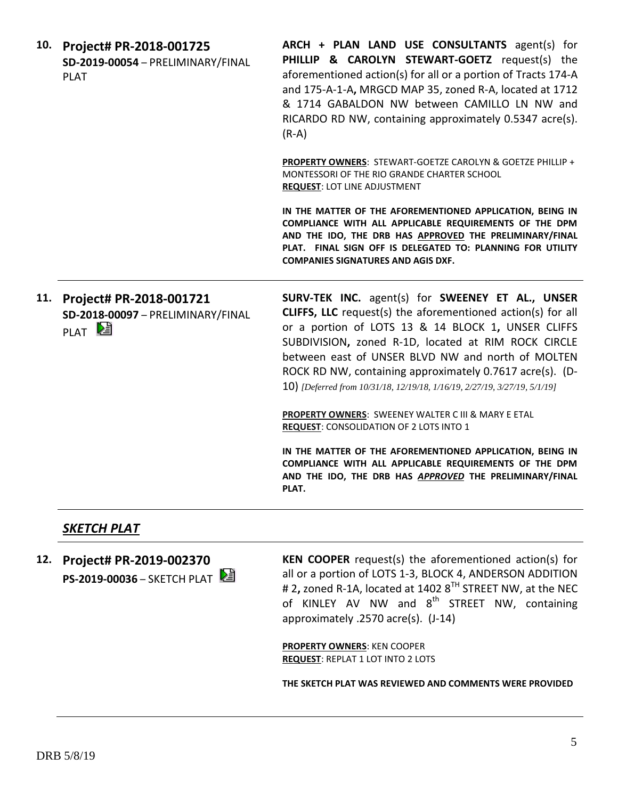| 10. | Project# PR-2018-001725<br>SD-2019-00054 - PRELIMINARY/FINAL<br><b>PLAT</b>       | ARCH + PLAN LAND USE CONSULTANTS agent(s) for<br>PHILLIP & CAROLYN STEWART-GOETZ request(s) the<br>aforementioned action(s) for all or a portion of Tracts 174-A<br>and 175-A-1-A, MRGCD MAP 35, zoned R-A, located at 1712<br>& 1714 GABALDON NW between CAMILLO LN NW and<br>RICARDO RD NW, containing approximately 0.5347 acre(s).<br>$(R-A)$                                                                                                                                                                                                     |
|-----|-----------------------------------------------------------------------------------|-------------------------------------------------------------------------------------------------------------------------------------------------------------------------------------------------------------------------------------------------------------------------------------------------------------------------------------------------------------------------------------------------------------------------------------------------------------------------------------------------------------------------------------------------------|
|     |                                                                                   | <b>PROPERTY OWNERS: STEWART-GOETZE CAROLYN &amp; GOETZE PHILLIP +</b><br>MONTESSORI OF THE RIO GRANDE CHARTER SCHOOL<br><b>REQUEST: LOT LINE ADJUSTMENT</b>                                                                                                                                                                                                                                                                                                                                                                                           |
|     |                                                                                   | IN THE MATTER OF THE AFOREMENTIONED APPLICATION, BEING IN<br>COMPLIANCE WITH ALL APPLICABLE REQUIREMENTS OF THE DPM<br>AND THE IDO, THE DRB HAS APPROVED THE PRELIMINARY/FINAL<br>PLAT. FINAL SIGN OFF IS DELEGATED TO: PLANNING FOR UTILITY<br><b>COMPANIES SIGNATURES AND AGIS DXF.</b>                                                                                                                                                                                                                                                             |
| 11. | Project# PR-2018-001721<br>SD-2018-00097 - PRELIMINARY/FINAL<br>PLAT <sup>L</sup> | SURV-TEK INC. agent(s) for SWEENEY ET AL., UNSER<br><b>CLIFFS, LLC</b> request(s) the aforementioned action(s) for all<br>or a portion of LOTS 13 & 14 BLOCK 1, UNSER CLIFFS<br>SUBDIVISION, zoned R-1D, located at RIM ROCK CIRCLE<br>between east of UNSER BLVD NW and north of MOLTEN<br>ROCK RD NW, containing approximately 0.7617 acre(s). (D-<br>10) [Deferred from 10/31/18, 12/19/18, 1/16/19, 2/27/19, 3/27/19, 5/1/19]<br><b>PROPERTY OWNERS: SWEENEY WALTER C III &amp; MARY E ETAL</b><br><b>REQUEST: CONSOLIDATION OF 2 LOTS INTO 1</b> |
|     |                                                                                   | IN THE MATTER OF THE AFOREMENTIONED APPLICATION, BEING IN<br>COMPLIANCE WITH ALL APPLICABLE REQUIREMENTS OF THE DPM<br>AND THE IDO, THE DRB HAS APPROVED THE PRELIMINARY/FINAL<br>PLAT.                                                                                                                                                                                                                                                                                                                                                               |

## *SKETCH PLAT*

**12. Project# PR-2019-002370 PS-2019-00036** – SKETCH PLAT **KEN COOPER** request(s) the aforementioned action(s) for all or a portion of LOTS 1-3, BLOCK 4, ANDERSON ADDITION # 2**,** zoned R-1A, located at 1402 8TH STREET NW, at the NEC of KINLEY AV NW and  $8^{th}$  STREET NW, containing approximately .2570 acre(s). (J-14)

**PROPERTY OWNERS**: KEN COOPER **REQUEST**: REPLAT 1 LOT INTO 2 LOTS

**THE SKETCH PLAT WAS REVIEWED AND COMMENTS WERE PROVIDED**